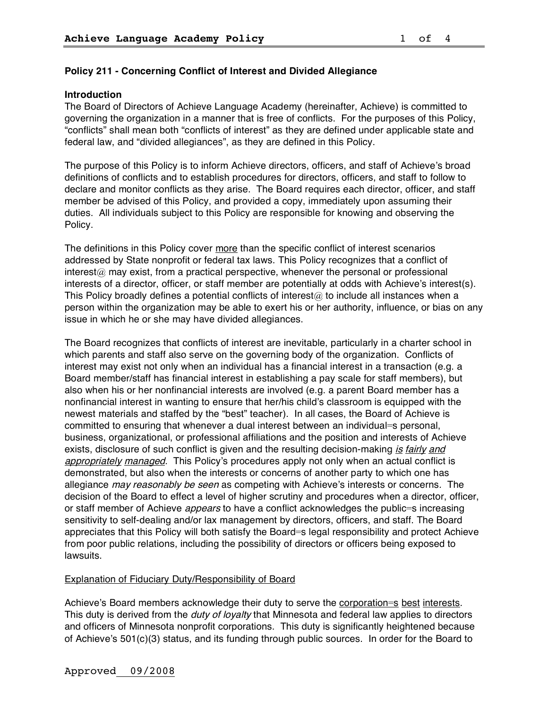## **Policy 211 - Concerning Conflict of Interest and Divided Allegiance**

#### **Introduction**

The Board of Directors of Achieve Language Academy (hereinafter, Achieve) is committed to governing the organization in a manner that is free of conflicts. For the purposes of this Policy, "conflicts" shall mean both "conflicts of interest" as they are defined under applicable state and federal law, and "divided allegiances", as they are defined in this Policy.

The purpose of this Policy is to inform Achieve directors, officers, and staff of Achieve's broad definitions of conflicts and to establish procedures for directors, officers, and staff to follow to declare and monitor conflicts as they arise. The Board requires each director, officer, and staff member be advised of this Policy, and provided a copy, immediately upon assuming their duties. All individuals subject to this Policy are responsible for knowing and observing the Policy.

The definitions in this Policy cover more than the specific conflict of interest scenarios addressed by State nonprofit or federal tax laws. This Policy recognizes that a conflict of  $interest@$  may exist, from a practical perspective, whenever the personal or professional interests of a director, officer, or staff member are potentially at odds with Achieve's interest(s). This Policy broadly defines a potential conflicts of interest $@$  to include all instances when a person within the organization may be able to exert his or her authority, influence, or bias on any issue in which he or she may have divided allegiances.

The Board recognizes that conflicts of interest are inevitable, particularly in a charter school in which parents and staff also serve on the governing body of the organization. Conflicts of interest may exist not only when an individual has a financial interest in a transaction (e.g. a Board member/staff has financial interest in establishing a pay scale for staff members), but also when his or her nonfinancial interests are involved (e.g. a parent Board member has a nonfinancial interest in wanting to ensure that her/his child's classroom is equipped with the newest materials and staffed by the "best" teacher). In all cases, the Board of Achieve is committed to ensuring that whenever a dual interest between an individual=s personal, business, organizational, or professional affiliations and the position and interests of Achieve exists, disclosure of such conflict is given and the resulting decision-making is fairly and appropriately managed. This Policy's procedures apply not only when an actual conflict is demonstrated, but also when the interests or concerns of another party to which one has allegiance may reasonably be seen as competing with Achieve's interests or concerns. The decision of the Board to effect a level of higher scrutiny and procedures when a director, officer, or staff member of Achieve *appears* to have a conflict acknowledges the public=s increasing sensitivity to self-dealing and/or lax management by directors, officers, and staff. The Board appreciates that this Policy will both satisfy the Board=s legal responsibility and protect Achieve from poor public relations, including the possibility of directors or officers being exposed to lawsuits.

### Explanation of Fiduciary Duty/Responsibility of Board

Achieve's Board members acknowledge their duty to serve the corporation=s best interests. This duty is derived from the *duty of loyalty* that Minnesota and federal law applies to directors and officers of Minnesota nonprofit corporations. This duty is significantly heightened because of Achieve's 501(c)(3) status, and its funding through public sources. In order for the Board to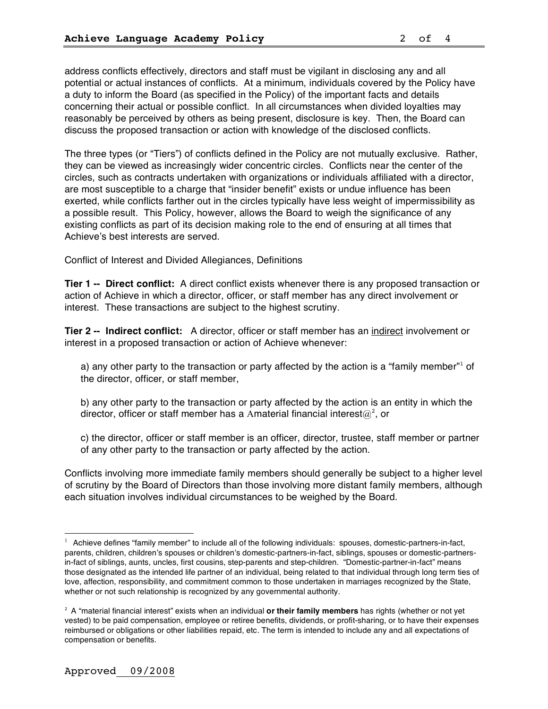address conflicts effectively, directors and staff must be vigilant in disclosing any and all potential or actual instances of conflicts. At a minimum, individuals covered by the Policy have a duty to inform the Board (as specified in the Policy) of the important facts and details concerning their actual or possible conflict. In all circumstances when divided loyalties may reasonably be perceived by others as being present, disclosure is key. Then, the Board can discuss the proposed transaction or action with knowledge of the disclosed conflicts.

The three types (or "Tiers") of conflicts defined in the Policy are not mutually exclusive. Rather, they can be viewed as increasingly wider concentric circles. Conflicts near the center of the circles, such as contracts undertaken with organizations or individuals affiliated with a director, are most susceptible to a charge that "insider benefit" exists or undue influence has been exerted, while conflicts farther out in the circles typically have less weight of impermissibility as a possible result. This Policy, however, allows the Board to weigh the significance of any existing conflicts as part of its decision making role to the end of ensuring at all times that Achieve's best interests are served.

Conflict of Interest and Divided Allegiances, Definitions

**Tier 1 -- Direct conflict:** A direct conflict exists whenever there is any proposed transaction or action of Achieve in which a director, officer, or staff member has any direct involvement or interest. These transactions are subject to the highest scrutiny.

**Tier 2 -- Indirect conflict:** A director, officer or staff member has an indirect involvement or interest in a proposed transaction or action of Achieve whenever:

a) any other party to the transaction or party affected by the action is a "family member" of the director, officer, or staff member,

b) any other party to the transaction or party affected by the action is an entity in which the director, officer or staff member has a Amaterial financial interest $@^2$ , or

c) the director, officer or staff member is an officer, director, trustee, staff member or partner of any other party to the transaction or party affected by the action.

Conflicts involving more immediate family members should generally be subject to a higher level of scrutiny by the Board of Directors than those involving more distant family members, although each situation involves individual circumstances to be weighed by the Board.

È,

 $1$  Achieve defines "family member" to include all of the following individuals: spouses, domestic-partners-in-fact, parents, children, children's spouses or children's domestic-partners-in-fact, siblings, spouses or domestic-partnersin-fact of siblings, aunts, uncles, first cousins, step-parents and step-children. "Domestic-partner-in-fact" means those designated as the intended life partner of an individual, being related to that individual through long term ties of love, affection, responsibility, and commitment common to those undertaken in marriages recognized by the State, whether or not such relationship is recognized by any governmental authority.

<sup>2</sup> A "material financial interest" exists when an individual **or their family members** has rights (whether or not yet vested) to be paid compensation, employee or retiree benefits, dividends, or profit-sharing, or to have their expenses reimbursed or obligations or other liabilities repaid, etc. The term is intended to include any and all expectations of compensation or benefits.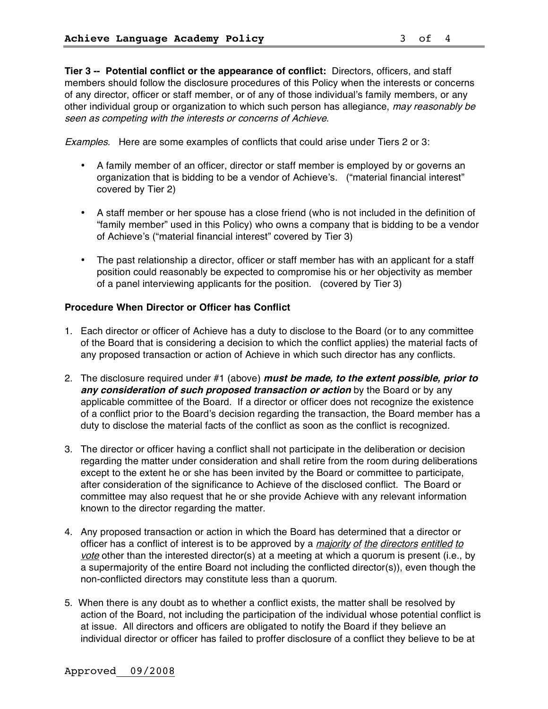**Tier 3 -- Potential conflict or the appearance of conflict:** Directors, officers, and staff members should follow the disclosure procedures of this Policy when the interests or concerns of any director, officer or staff member, or of any of those individual's family members, or any other individual group or organization to which such person has allegiance, may reasonably be seen as competing with the interests or concerns of Achieve.

Examples. Here are some examples of conflicts that could arise under Tiers 2 or 3:

- A family member of an officer, director or staff member is employed by or governs an organization that is bidding to be a vendor of Achieve's. ("material financial interest" covered by Tier 2)
- A staff member or her spouse has a close friend (who is not included in the definition of "family member" used in this Policy) who owns a company that is bidding to be a vendor of Achieve's ("material financial interest" covered by Tier 3)
- The past relationship a director, officer or staff member has with an applicant for a staff position could reasonably be expected to compromise his or her objectivity as member of a panel interviewing applicants for the position. (covered by Tier 3)

### **Procedure When Director or Officer has Conflict**

- 1. Each director or officer of Achieve has a duty to disclose to the Board (or to any committee of the Board that is considering a decision to which the conflict applies) the material facts of any proposed transaction or action of Achieve in which such director has any conflicts.
- 2. The disclosure required under #1 (above) **must be made, to the extent possible, prior to any consideration of such proposed transaction or action** by the Board or by any applicable committee of the Board. If a director or officer does not recognize the existence of a conflict prior to the Board's decision regarding the transaction, the Board member has a duty to disclose the material facts of the conflict as soon as the conflict is recognized.
- 3. The director or officer having a conflict shall not participate in the deliberation or decision regarding the matter under consideration and shall retire from the room during deliberations except to the extent he or she has been invited by the Board or committee to participate, after consideration of the significance to Achieve of the disclosed conflict. The Board or committee may also request that he or she provide Achieve with any relevant information known to the director regarding the matter.
- 4. Any proposed transaction or action in which the Board has determined that a director or officer has a conflict of interest is to be approved by a *majority of the directors entitled to* vote other than the interested director(s) at a meeting at which a quorum is present (i.e., by a supermajority of the entire Board not including the conflicted director(s)), even though the non-conflicted directors may constitute less than a quorum.
- 5. When there is any doubt as to whether a conflict exists, the matter shall be resolved by action of the Board, not including the participation of the individual whose potential conflict is at issue. All directors and officers are obligated to notify the Board if they believe an individual director or officer has failed to proffer disclosure of a conflict they believe to be at